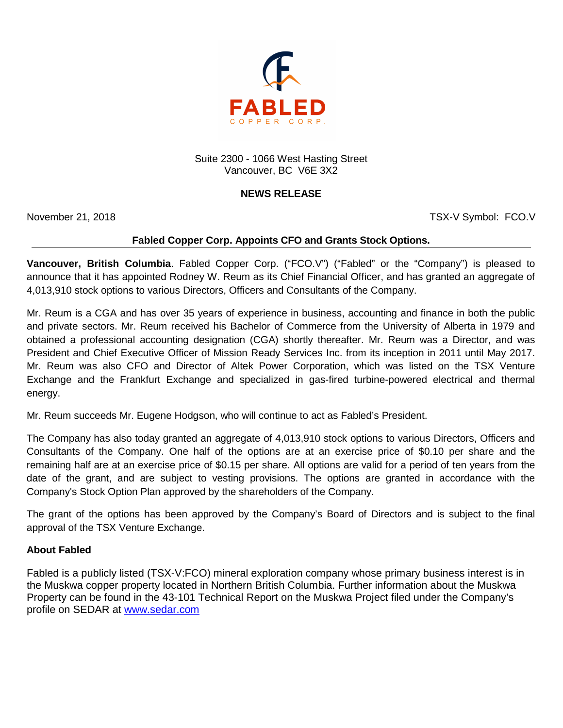

Suite 2300 - 1066 West Hasting Street Vancouver, BC V6E 3X2

## **NEWS RELEASE**

November 21, 2018 **November 21, 2018** TSX-V Symbol: FCO.V

## **Fabled Copper Corp. Appoints CFO and Grants Stock Options.**

**Vancouver, British Columbia**. Fabled Copper Corp. ("FCO.V") ("Fabled" or the "Company") is pleased to announce that it has appointed Rodney W. Reum as its Chief Financial Officer, and has granted an aggregate of 4,013,910 stock options to various Directors, Officers and Consultants of the Company.

Mr. Reum is a CGA and has over 35 years of experience in business, accounting and finance in both the public and private sectors. Mr. Reum received his Bachelor of Commerce from the University of Alberta in 1979 and obtained a professional accounting designation (CGA) shortly thereafter. Mr. Reum was a Director, and was President and Chief Executive Officer of Mission Ready Services Inc. from its inception in 2011 until May 2017. Mr. Reum was also CFO and Director of Altek Power Corporation, which was listed on the TSX Venture Exchange and the Frankfurt Exchange and specialized in gas-fired turbine-powered electrical and thermal energy.

Mr. Reum succeeds Mr. Eugene Hodgson, who will continue to act as Fabled's President.

The Company has also today granted an aggregate of 4,013,910 stock options to various Directors, Officers and Consultants of the Company. One half of the options are at an exercise price of \$0.10 per share and the remaining half are at an exercise price of \$0.15 per share. All options are valid for a period of ten years from the date of the grant, and are subject to vesting provisions. The options are granted in accordance with the Company's Stock Option Plan approved by the shareholders of the Company.

The grant of the options has been approved by the Company's Board of Directors and is subject to the final approval of the TSX Venture Exchange.

## **About Fabled**

Fabled is a publicly listed (TSX-V:FCO) mineral exploration company whose primary business interest is in the Muskwa copper property located in Northern British Columbia. Further information about the Muskwa Property can be found in the 43-101 Technical Report on the Muskwa Project filed under the Company's profile on SEDAR at [www.sedar.com](http://www.sedar.com/)